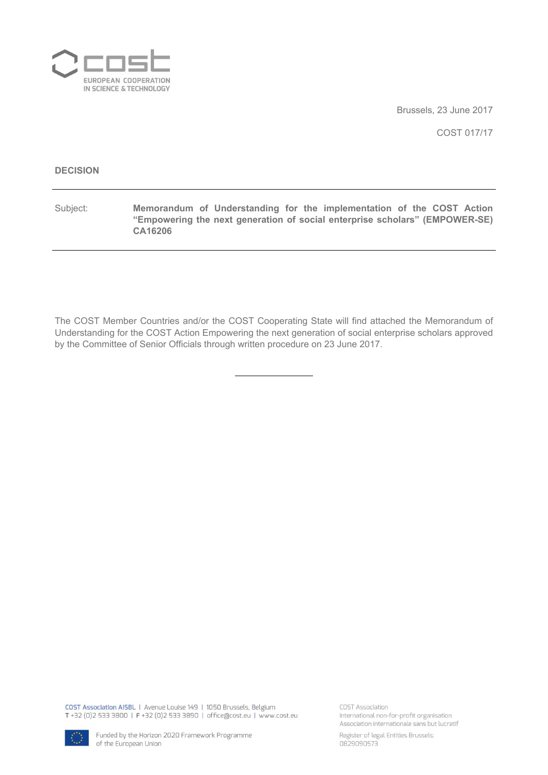

Brussels, 23 June 2017

COST 017/17

#### **DECISION**

Subject: **Memorandum of Understanding for the implementation of the COST Action "Empowering the next generation of social enterprise scholars" (EMPOWER-SE) CA16206**

The COST Member Countries and/or the COST Cooperating State will find attached the Memorandum of Understanding for the COST Action Empowering the next generation of social enterprise scholars approved by the Committee of Senior Officials through written procedure on 23 June 2017.

COST Association AISBL | Avenue Louise 149 | 1050 Brussels, Belgium T+32 (0)2 533 3800 | F+32 (0)2 533 3890 | office@cost.eu | www.cost.eu COST Association International non-for-profit organisation Association internationale sans but lucratif



Register of legal Entities Brussels: 0829090573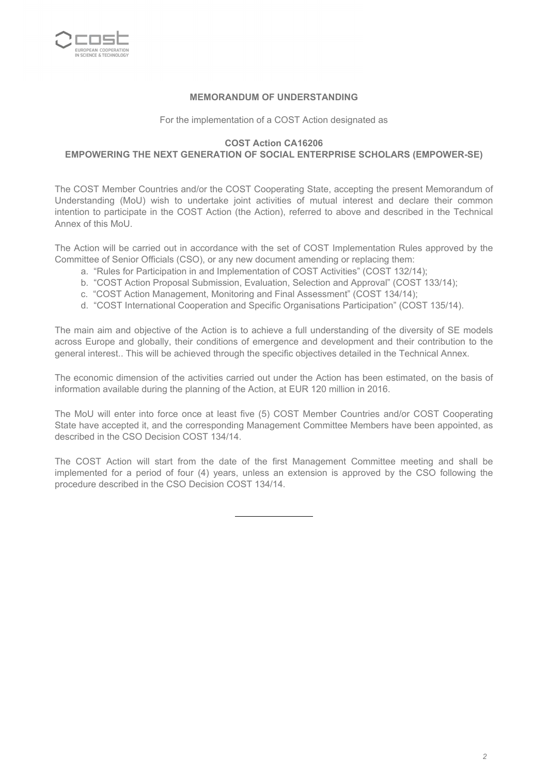

#### **MEMORANDUM OF UNDERSTANDING**

For the implementation of a COST Action designated as

#### **COST Action CA16206**

#### **EMPOWERING THE NEXT GENERATION OF SOCIAL ENTERPRISE SCHOLARS (EMPOWER-SE)**

The COST Member Countries and/or the COST Cooperating State, accepting the present Memorandum of Understanding (MoU) wish to undertake joint activities of mutual interest and declare their common intention to participate in the COST Action (the Action), referred to above and described in the Technical Annex of this MoU.

The Action will be carried out in accordance with the set of COST Implementation Rules approved by the Committee of Senior Officials (CSO), or any new document amending or replacing them:

- a. "Rules for Participation in and Implementation of COST Activities" (COST 132/14);
- b. "COST Action Proposal Submission, Evaluation, Selection and Approval" (COST 133/14);
- c. "COST Action Management, Monitoring and Final Assessment" (COST 134/14);
- d. "COST International Cooperation and Specific Organisations Participation" (COST 135/14).

The main aim and objective of the Action is to achieve a full understanding of the diversity of SE models across Europe and globally, their conditions of emergence and development and their contribution to the general interest.. This will be achieved through the specific objectives detailed in the Technical Annex.

The economic dimension of the activities carried out under the Action has been estimated, on the basis of information available during the planning of the Action, at EUR 120 million in 2016.

The MoU will enter into force once at least five (5) COST Member Countries and/or COST Cooperating State have accepted it, and the corresponding Management Committee Members have been appointed, as described in the CSO Decision COST 134/14.

The COST Action will start from the date of the first Management Committee meeting and shall be implemented for a period of four (4) years, unless an extension is approved by the CSO following the procedure described in the CSO Decision COST 134/14.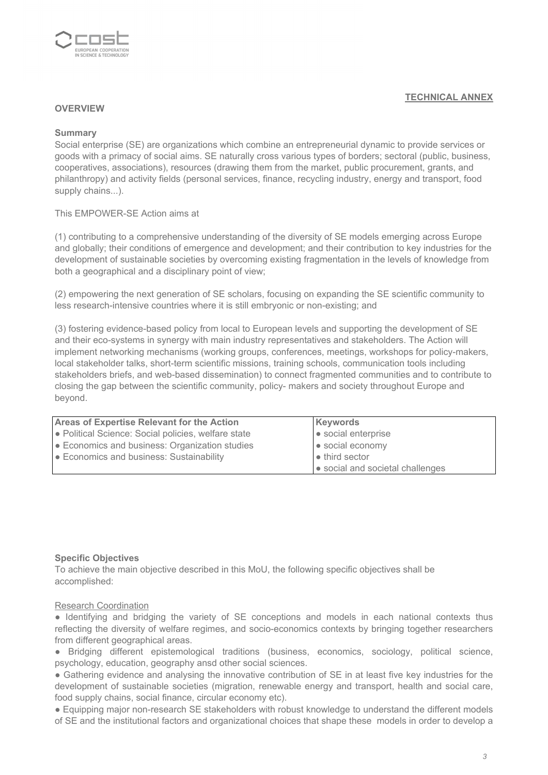

#### **OVERVIEW**

#### **Summary**

Social enterprise (SE) are organizations which combine an entrepreneurial dynamic to provide services or goods with a primacy of social aims. SE naturally cross various types of borders; sectoral (public, business, cooperatives, associations), resources (drawing them from the market, public procurement, grants, and philanthropy) and activity fields (personal services, finance, recycling industry, energy and transport, food supply chains...).

#### This EMPOWER-SE Action aims at

(1) contributing to a comprehensive understanding of the diversity of SE models emerging across Europe and globally; their conditions of emergence and development; and their contribution to key industries for the development of sustainable societies by overcoming existing fragmentation in the levels of knowledge from both a geographical and a disciplinary point of view;

(2) empowering the next generation of SE scholars, focusing on expanding the SE scientific community to less research-intensive countries where it is still embryonic or non-existing; and

(3) fostering evidence-based policy from local to European levels and supporting the development of SE and their eco-systems in synergy with main industry representatives and stakeholders. The Action will implement networking mechanisms (working groups, conferences, meetings, workshops for policy-makers, local stakeholder talks, short-term scientific missions, training schools, communication tools including stakeholders briefs, and web-based dissemination) to connect fragmented communities and to contribute to closing the gap between the scientific community, policy- makers and society throughout Europe and beyond.

| <b>Areas of Expertise Relevant for the Action</b>                                                                                                                                                                                    | Keywords                         |
|--------------------------------------------------------------------------------------------------------------------------------------------------------------------------------------------------------------------------------------|----------------------------------|
| • Political Science: Social policies, welfare state                                                                                                                                                                                  | • social enterprise              |
| <b>Economics and business: Organization studies</b>                                                                                                                                                                                  | • social economy                 |
| <b>Example 3 Example 2 Conventsal Example 3 Example 3 Example 3 Example 3 Example 3 Example 3 Example 3 Example 3 Example 3 Example 3 Example 3 Example 3 Example 3 Example 3 Example 3 Example 3 Example 3 Example 3 Example 3 </b> | $\bullet$ third sector           |
|                                                                                                                                                                                                                                      | • social and societal challenges |

#### **Specific Objectives**

To achieve the main objective described in this MoU, the following specific objectives shall be accomplished:

#### Research Coordination

• Identifying and bridging the variety of SE conceptions and models in each national contexts thus reflecting the diversity of welfare regimes, and socio-economics contexts by bringing together researchers from different geographical areas.

● Bridging different epistemological traditions (business, economics, sociology, political science, psychology, education, geography ansd other social sciences.

● Gathering evidence and analysing the innovative contribution of SE in at least five key industries for the development of sustainable societies (migration, renewable energy and transport, health and social care, food supply chains, social finance, circular economy etc).

● Equipping major non-research SE stakeholders with robust knowledge to understand the different models of SE and the institutional factors and organizational choices that shape these models in order to develop a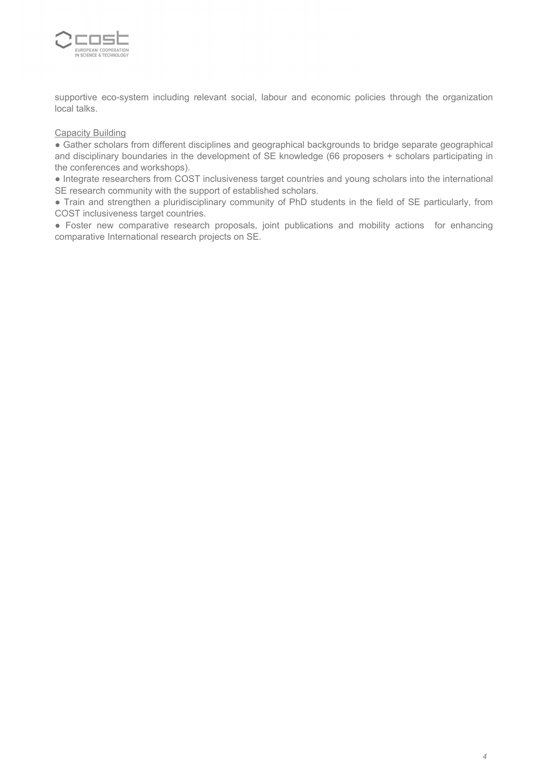

supportive eco-system including relevant social, labour and economic policies through the organization local talks.

#### **Capacity Building**

● Gather scholars from different disciplines and geographical backgrounds to bridge separate geographical and disciplinary boundaries in the development of SE knowledge (66 proposers + scholars participating in the conferences and workshops).

● Integrate researchers from COST inclusiveness target countries and young scholars into the international SE research community with the support of established scholars.

● Train and strengthen a pluridisciplinary community of PhD students in the field of SE particularly, from COST inclusiveness target countries.

● Foster new comparative research proposals, joint publications and mobility actions for enhancing comparative International research projects on SE.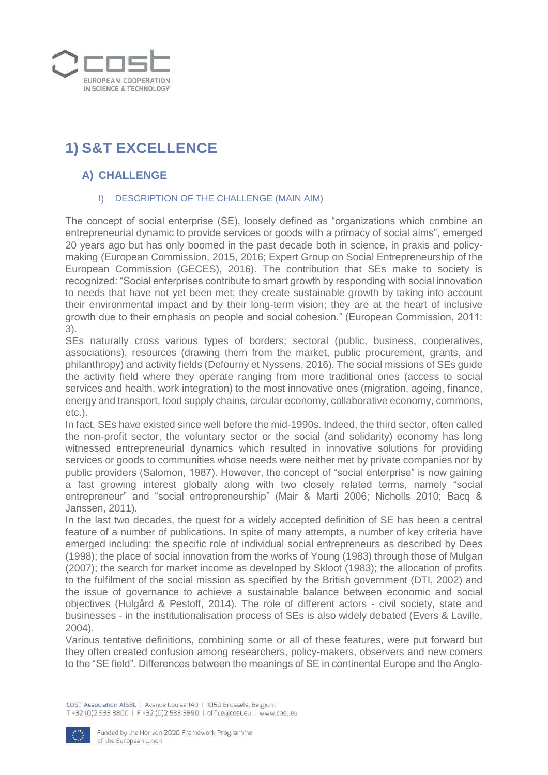

# **1) S&T EXCELLENCE**

# **A) CHALLENGE**

### I) DESCRIPTION OF THE CHALLENGE (MAIN AIM)

The concept of social enterprise (SE), loosely defined as "organizations which combine an entrepreneurial dynamic to provide services or goods with a primacy of social aims", emerged 20 years ago but has only boomed in the past decade both in science, in praxis and policymaking (European Commission, 2015, 2016; Expert Group on Social Entrepreneurship of the European Commission (GECES), 2016). The contribution that SEs make to society is recognized: "Social enterprises contribute to smart growth by responding with social innovation to needs that have not yet been met; they create sustainable growth by taking into account their environmental impact and by their long-term vision; they are at the heart of inclusive growth due to their emphasis on people and social cohesion." (European Commission, 2011: 3).

SEs naturally cross various types of borders; sectoral (public, business, cooperatives, associations), resources (drawing them from the market, public procurement, grants, and philanthropy) and activity fields (Defourny et Nyssens, 2016). The social missions of SEs guide the activity field where they operate ranging from more traditional ones (access to social services and health, work integration) to the most innovative ones (migration, ageing, finance, energy and transport, food supply chains, circular economy, collaborative economy, commons, etc.).

In fact, SEs have existed since well before the mid-1990s. Indeed, the third sector, often called the non-profit sector, the voluntary sector or the social (and solidarity) economy has long witnessed entrepreneurial dynamics which resulted in innovative solutions for providing services or goods to communities whose needs were neither met by private companies nor by public providers (Salomon, 1987). However, the concept of "social enterprise" is now gaining a fast growing interest globally along with two closely related terms, namely "social entrepreneur" and "social entrepreneurship" (Mair & Marti 2006; Nicholls 2010; Bacq & Janssen, 2011).

In the last two decades, the quest for a widely accepted definition of SE has been a central feature of a number of publications. In spite of many attempts, a number of key criteria have emerged including: the specific role of individual social entrepreneurs as described by Dees (1998); the place of social innovation from the works of Young (1983) through those of Mulgan (2007); the search for market income as developed by Skloot (1983); the allocation of profits to the fulfilment of the social mission as specified by the British government (DTI, 2002) and the issue of governance to achieve a sustainable balance between economic and social objectives (Hulgård & Pestoff, 2014). The role of different actors - civil society, state and businesses - in the institutionalisation process of SEs is also widely debated (Evers & Laville, 2004).

Various tentative definitions, combining some or all of these features, were put forward but they often created confusion among researchers, policy-makers, observers and new comers to the "SE field". Differences between the meanings of SE in continental Europe and the Anglo-

COST Association AISBL | Avenue Louise 149 | 1050 Brussels, Belgium T+32 (0)2 533 3800 | F+32 (0)2 533 3890 | office@cost.eu | www.cost.eu

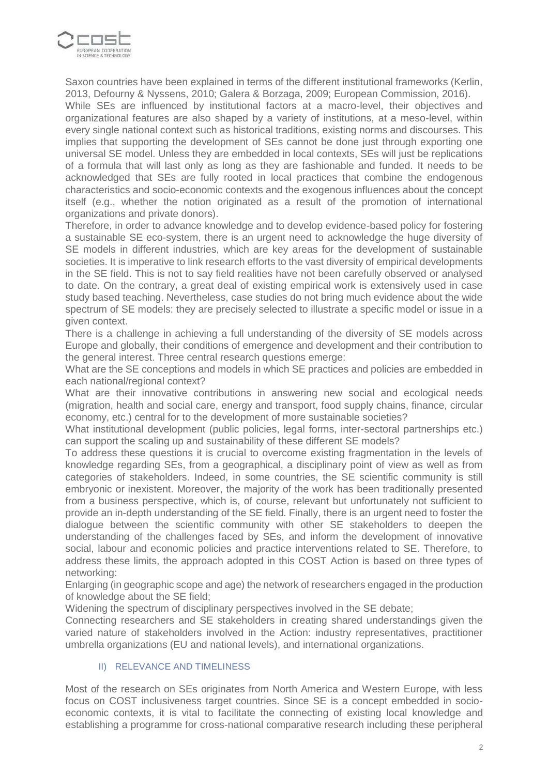

Saxon countries have been explained in terms of the different institutional frameworks (Kerlin, 2013, Defourny & Nyssens, 2010; Galera & Borzaga, 2009; European Commission, 2016). While SEs are influenced by institutional factors at a macro-level, their objectives and organizational features are also shaped by a variety of institutions, at a meso-level, within every single national context such as historical traditions, existing norms and discourses. This implies that supporting the development of SEs cannot be done just through exporting one universal SE model. Unless they are embedded in local contexts, SEs will just be replications of a formula that will last only as long as they are fashionable and funded. It needs to be acknowledged that SEs are fully rooted in local practices that combine the endogenous characteristics and socio-economic contexts and the exogenous influences about the concept itself (e.g., whether the notion originated as a result of the promotion of international organizations and private donors).

Therefore, in order to advance knowledge and to develop evidence-based policy for fostering a sustainable SE eco-system, there is an urgent need to acknowledge the huge diversity of SE models in different industries, which are key areas for the development of sustainable societies. It is imperative to link research efforts to the vast diversity of empirical developments in the SE field. This is not to say field realities have not been carefully observed or analysed to date. On the contrary, a great deal of existing empirical work is extensively used in case study based teaching. Nevertheless, case studies do not bring much evidence about the wide spectrum of SE models: they are precisely selected to illustrate a specific model or issue in a given context.

There is a challenge in achieving a full understanding of the diversity of SE models across Europe and globally, their conditions of emergence and development and their contribution to the general interest. Three central research questions emerge:

What are the SE conceptions and models in which SE practices and policies are embedded in each national/regional context?

What are their innovative contributions in answering new social and ecological needs (migration, health and social care, energy and transport, food supply chains, finance, circular economy, etc.) central for to the development of more sustainable societies?

What institutional development (public policies, legal forms, inter-sectoral partnerships etc.) can support the scaling up and sustainability of these different SE models?

To address these questions it is crucial to overcome existing fragmentation in the levels of knowledge regarding SEs, from a geographical, a disciplinary point of view as well as from categories of stakeholders. Indeed, in some countries, the SE scientific community is still embryonic or inexistent. Moreover, the majority of the work has been traditionally presented from a business perspective, which is, of course, relevant but unfortunately not sufficient to provide an in-depth understanding of the SE field. Finally, there is an urgent need to foster the dialogue between the scientific community with other SE stakeholders to deepen the understanding of the challenges faced by SEs, and inform the development of innovative social, labour and economic policies and practice interventions related to SE. Therefore, to address these limits, the approach adopted in this COST Action is based on three types of networking:

Enlarging (in geographic scope and age) the network of researchers engaged in the production of knowledge about the SE field;

Widening the spectrum of disciplinary perspectives involved in the SE debate;

Connecting researchers and SE stakeholders in creating shared understandings given the varied nature of stakeholders involved in the Action: industry representatives, practitioner umbrella organizations (EU and national levels), and international organizations.

#### II) RELEVANCE AND TIMELINESS

Most of the research on SEs originates from North America and Western Europe, with less focus on COST inclusiveness target countries. Since SE is a concept embedded in socioeconomic contexts, it is vital to facilitate the connecting of existing local knowledge and establishing a programme for cross-national comparative research including these peripheral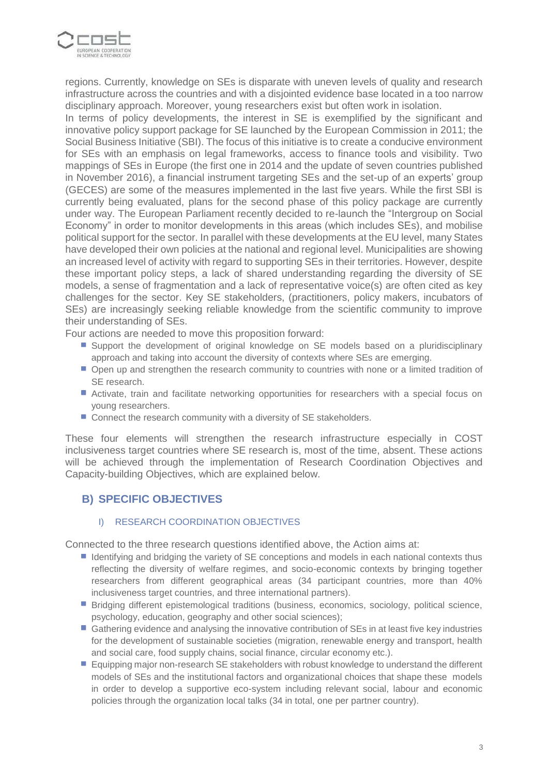

regions. Currently, knowledge on SEs is disparate with uneven levels of quality and research infrastructure across the countries and with a disjointed evidence base located in a too narrow disciplinary approach. Moreover, young researchers exist but often work in isolation.

In terms of policy developments, the interest in SE is exemplified by the significant and innovative policy support package for SE launched by the European Commission in 2011; the Social Business Initiative (SBI). The focus of this initiative is to create a conducive environment for SEs with an emphasis on legal frameworks, access to finance tools and visibility. Two mappings of SEs in Europe (the first one in 2014 and the update of seven countries published in November 2016), a financial instrument targeting SEs and the set-up of an experts' group (GECES) are some of the measures implemented in the last five years. While the first SBI is currently being evaluated, plans for the second phase of this policy package are currently under way. The European Parliament recently decided to re-launch the "Intergroup on Social Economy" in order to monitor developments in this areas (which includes SEs), and mobilise political support for the sector. In parallel with these developments at the EU level, many States have developed their own policies at the national and regional level. Municipalities are showing an increased level of activity with regard to supporting SEs in their territories. However, despite these important policy steps, a lack of shared understanding regarding the diversity of SE models, a sense of fragmentation and a lack of representative voice(s) are often cited as key challenges for the sector. Key SE stakeholders, (practitioners, policy makers, incubators of SEs) are increasingly seeking reliable knowledge from the scientific community to improve their understanding of SEs.

Four actions are needed to move this proposition forward:

- **Support the development of original knowledge on SE models based on a pluridisciplinary** approach and taking into account the diversity of contexts where SEs are emerging.
- **Open up and strengthen the research community to countries with none or a limited tradition of** SE research.
- Activate, train and facilitate networking opportunities for researchers with a special focus on young researchers.
- Connect the research community with a diversity of SE stakeholders.

These four elements will strengthen the research infrastructure especially in COST inclusiveness target countries where SE research is, most of the time, absent. These actions will be achieved through the implementation of Research Coordination Objectives and Capacity-building Objectives, which are explained below.

## **B) SPECIFIC OBJECTIVES**

#### I) RESEARCH COORDINATION OBJECTIVES

Connected to the three research questions identified above, the Action aims at:

- I dentifying and bridging the variety of SE conceptions and models in each national contexts thus reflecting the diversity of welfare regimes, and socio-economic contexts by bringing together researchers from different geographical areas (34 participant countries, more than 40% inclusiveness target countries, and three international partners).
- **Bidging different epistemological traditions (business, economics, sociology, political science,** psychology, education, geography and other social sciences);
- Gathering evidence and analysing the innovative contribution of SEs in at least five key industries for the development of sustainable societies (migration, renewable energy and transport, health and social care, food supply chains, social finance, circular economy etc.).
- **E** guipping major non-research SE stakeholders with robust knowledge to understand the different models of SEs and the institutional factors and organizational choices that shape these models in order to develop a supportive eco-system including relevant social, labour and economic policies through the organization local talks (34 in total, one per partner country).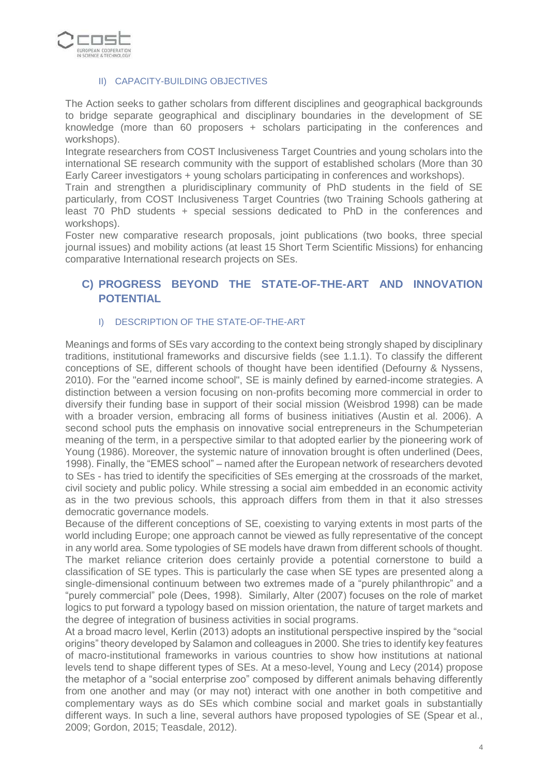

#### II) CAPACITY-BUILDING OBJECTIVES

The Action seeks to gather scholars from different disciplines and geographical backgrounds to bridge separate geographical and disciplinary boundaries in the development of SE knowledge (more than 60 proposers + scholars participating in the conferences and workshops).

Integrate researchers from COST Inclusiveness Target Countries and young scholars into the international SE research community with the support of established scholars (More than 30 Early Career investigators + young scholars participating in conferences and workshops).

Train and strengthen a pluridisciplinary community of PhD students in the field of SE particularly, from COST Inclusiveness Target Countries (two Training Schools gathering at least 70 PhD students + special sessions dedicated to PhD in the conferences and workshops).

Foster new comparative research proposals, joint publications (two books, three special journal issues) and mobility actions (at least 15 Short Term Scientific Missions) for enhancing comparative International research projects on SEs.

## **C) PROGRESS BEYOND THE STATE-OF-THE-ART AND INNOVATION POTENTIAL**

#### I) DESCRIPTION OF THE STATE-OF-THE-ART

Meanings and forms of SEs vary according to the context being strongly shaped by disciplinary traditions, institutional frameworks and discursive fields (see 1.1.1). To classify the different conceptions of SE, different schools of thought have been identified (Defourny & Nyssens, 2010). For the "earned income school", SE is mainly defined by earned-income strategies. A distinction between a version focusing on non-profits becoming more commercial in order to diversify their funding base in support of their social mission (Weisbrod 1998) can be made with a broader version, embracing all forms of business initiatives (Austin et al. 2006). A second school puts the emphasis on innovative social entrepreneurs in the Schumpeterian meaning of the term, in a perspective similar to that adopted earlier by the pioneering work of Young (1986). Moreover, the systemic nature of innovation brought is often underlined (Dees, 1998). Finally, the "EMES school" – named after the European network of researchers devoted to SEs - has tried to identify the specificities of SEs emerging at the crossroads of the market, civil society and public policy. While stressing a social aim embedded in an economic activity as in the two previous schools, this approach differs from them in that it also stresses democratic governance models.

Because of the different conceptions of SE, coexisting to varying extents in most parts of the world including Europe; one approach cannot be viewed as fully representative of the concept in any world area. Some typologies of SE models have drawn from different schools of thought. The market reliance criterion does certainly provide a potential cornerstone to build a classification of SE types. This is particularly the case when SE types are presented along a single-dimensional continuum between two extremes made of a "purely philanthropic" and a "purely commercial" pole (Dees, 1998). Similarly, Alter (2007) focuses on the role of market logics to put forward a typology based on mission orientation, the nature of target markets and the degree of integration of business activities in social programs.

At a broad macro level, Kerlin (2013) adopts an institutional perspective inspired by the "social origins" theory developed by Salamon and colleagues in 2000. She tries to identify key features of macro-institutional frameworks in various countries to show how institutions at national levels tend to shape different types of SEs. At a meso-level, Young and Lecy (2014) propose the metaphor of a "social enterprise zoo" composed by different animals behaving differently from one another and may (or may not) interact with one another in both competitive and complementary ways as do SEs which combine social and market goals in substantially different ways. In such a line, several authors have proposed typologies of SE (Spear et al., 2009; Gordon, 2015; Teasdale, 2012).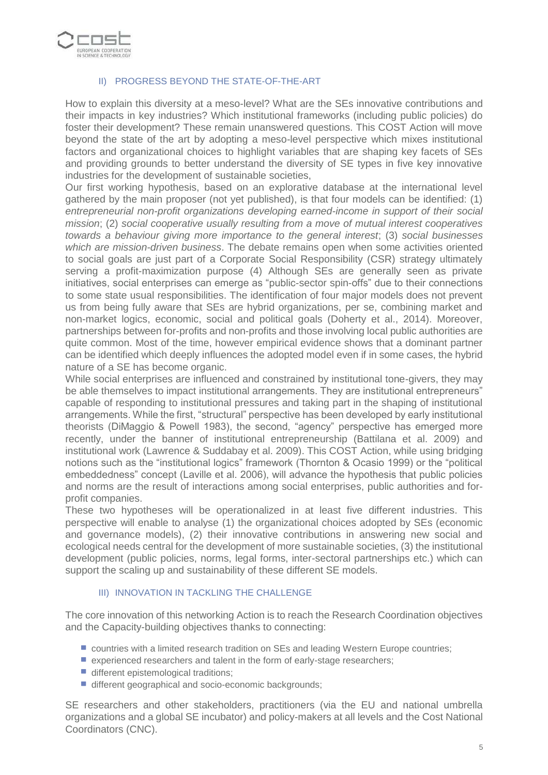

#### II) PROGRESS BEYOND THE STATE-OF-THE-ART

How to explain this diversity at a meso-level? What are the SEs innovative contributions and their impacts in key industries? Which institutional frameworks (including public policies) do foster their development? These remain unanswered questions. This COST Action will move beyond the state of the art by adopting a meso-level perspective which mixes institutional factors and organizational choices to highlight variables that are shaping key facets of SEs and providing grounds to better understand the diversity of SE types in five key innovative industries for the development of sustainable societies,

Our first working hypothesis, based on an explorative database at the international level gathered by the main proposer (not yet published), is that four models can be identified: (1) entrepreneurial non-profit organizations developing earned-income in support of their social mission; (2) social cooperative usually resulting from a move of mutual interest cooperatives towards a behaviour giving more importance to the general interest; (3) social businesses which are mission-driven business. The debate remains open when some activities oriented to social goals are just part of a Corporate Social Responsibility (CSR) strategy ultimately serving a profit-maximization purpose (4) Although SEs are generally seen as private initiatives, social enterprises can emerge as "public-sector spin-offs" due to their connections to some state usual responsibilities. The identification of four major models does not prevent us from being fully aware that SEs are hybrid organizations, per se, combining market and non-market logics, economic, social and political goals (Doherty et al., 2014). Moreover, partnerships between for-profits and non-profits and those involving local public authorities are quite common. Most of the time, however empirical evidence shows that a dominant partner can be identified which deeply influences the adopted model even if in some cases, the hybrid nature of a SE has become organic.

While social enterprises are influenced and constrained by institutional tone-givers, they may be able themselves to impact institutional arrangements. They are institutional entrepreneurs" capable of responding to institutional pressures and taking part in the shaping of institutional arrangements. While the first, "structural" perspective has been developed by early institutional theorists (DiMaggio & Powell 1983), the second, "agency" perspective has emerged more recently, under the banner of institutional entrepreneurship (Battilana et al. 2009) and institutional work (Lawrence & Suddabay et al. 2009). This COST Action, while using bridging notions such as the "institutional logics" framework (Thornton & Ocasio 1999) or the "political embeddedness" concept (Laville et al. 2006), will advance the hypothesis that public policies and norms are the result of interactions among social enterprises, public authorities and forprofit companies.

These two hypotheses will be operationalized in at least five different industries. This perspective will enable to analyse (1) the organizational choices adopted by SEs (economic and governance models), (2) their innovative contributions in answering new social and ecological needs central for the development of more sustainable societies, (3) the institutional development (public policies, norms, legal forms, inter-sectoral partnerships etc.) which can support the scaling up and sustainability of these different SE models.

#### III) INNOVATION IN TACKLING THE CHALLENGE

The core innovation of this networking Action is to reach the Research Coordination objectives and the Capacity-building objectives thanks to connecting:

- $\blacksquare$  countries with a limited research tradition on SEs and leading Western Europe countries;
- **experienced researchers and talent in the form of early-stage researchers;**
- different epistemological traditions;
- different geographical and socio-economic backgrounds;

SE researchers and other stakeholders, practitioners (via the EU and national umbrella organizations and a global SE incubator) and policy-makers at all levels and the Cost National Coordinators (CNC).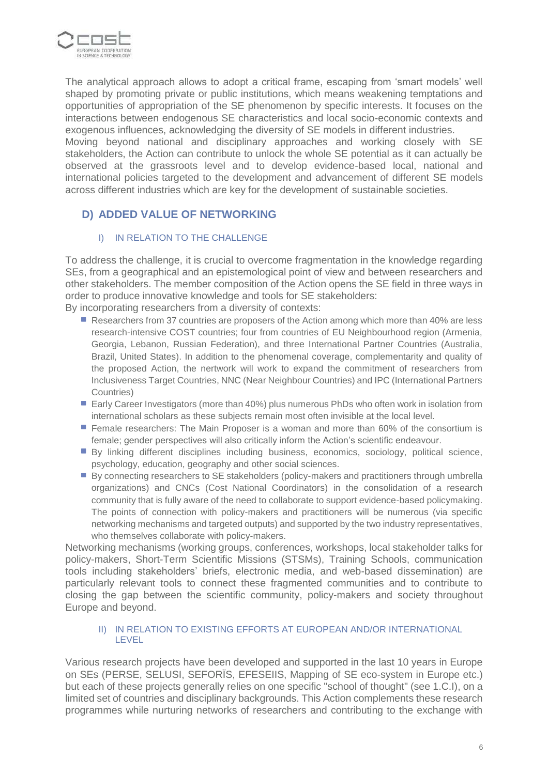

The analytical approach allows to adopt a critical frame, escaping from 'smart models' well shaped by promoting private or public institutions, which means weakening temptations and opportunities of appropriation of the SE phenomenon by specific interests. It focuses on the interactions between endogenous SE characteristics and local socio-economic contexts and exogenous influences, acknowledging the diversity of SE models in different industries.

Moving beyond national and disciplinary approaches and working closely with SE stakeholders, the Action can contribute to unlock the whole SE potential as it can actually be observed at the grassroots level and to develop evidence-based local, national and international policies targeted to the development and advancement of different SE models across different industries which are key for the development of sustainable societies.

## **D) ADDED VALUE OF NETWORKING**

### I) IN RELATION TO THE CHALLENGE

To address the challenge, it is crucial to overcome fragmentation in the knowledge regarding SEs, from a geographical and an epistemological point of view and between researchers and other stakeholders. The member composition of the Action opens the SE field in three ways in order to produce innovative knowledge and tools for SE stakeholders:

By incorporating researchers from a diversity of contexts:

- Researchers from 37 countries are proposers of the Action among which more than 40% are less research-intensive COST countries; four from countries of EU Neighbourhood region (Armenia, Georgia, Lebanon, Russian Federation), and three International Partner Countries (Australia, Brazil, United States). In addition to the phenomenal coverage, complementarity and quality of the proposed Action, the nertwork will work to expand the commitment of researchers from Inclusiveness Target Countries, NNC (Near Neighbour Countries) and IPC (International Partners Countries)
- Early Career Investigators (more than 40%) plus numerous PhDs who often work in isolation from international scholars as these subjects remain most often invisible at the local level.
- **Female researchers: The Main Proposer is a woman and more than 60% of the consortium is** female; gender perspectives will also critically inform the Action's scientific endeavour.
- By linking different disciplines including business, economics, sociology, political science, psychology, education, geography and other social sciences.
- By connecting researchers to SE stakeholders (policy-makers and practitioners through umbrella organizations) and CNCs (Cost National Coordinators) in the consolidation of a research community that is fully aware of the need to collaborate to support evidence-based policymaking. The points of connection with policy-makers and practitioners will be numerous (via specific networking mechanisms and targeted outputs) and supported by the two industry representatives, who themselves collaborate with policy-makers.

Networking mechanisms (working groups, conferences, workshops, local stakeholder talks for policy-makers, Short-Term Scientific Missions (STSMs), Training Schools, communication tools including stakeholders' briefs, electronic media, and web-based dissemination) are particularly relevant tools to connect these fragmented communities and to contribute to closing the gap between the scientific community, policy-makers and society throughout Europe and beyond.

#### II) IN RELATION TO EXISTING EFFORTS AT EUROPEAN AND/OR INTERNATIONAL LEVEL

Various research projects have been developed and supported in the last 10 years in Europe on SEs (PERSE, SELUSI, SEFORÏS, EFESEIIS, Mapping of SE eco-system in Europe etc.) but each of these projects generally relies on one specific "school of thought" (see 1.C.I), on a limited set of countries and disciplinary backgrounds. This Action complements these research programmes while nurturing networks of researchers and contributing to the exchange with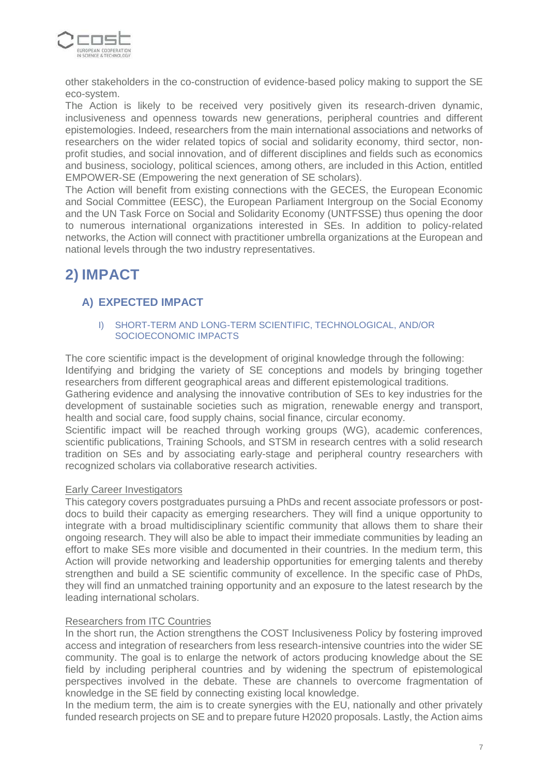

other stakeholders in the co-construction of evidence-based policy making to support the SE eco-system.

The Action is likely to be received very positively given its research-driven dynamic, inclusiveness and openness towards new generations, peripheral countries and different epistemologies. Indeed, researchers from the main international associations and networks of researchers on the wider related topics of social and solidarity economy, third sector, nonprofit studies, and social innovation, and of different disciplines and fields such as economics and business, sociology, political sciences, among others, are included in this Action, entitled EMPOWER-SE (Empowering the next generation of SE scholars).

The Action will benefit from existing connections with the GECES, the European Economic and Social Committee (EESC), the European Parliament Intergroup on the Social Economy and the UN Task Force on Social and Solidarity Economy (UNTFSSE) thus opening the door to numerous international organizations interested in SEs. In addition to policy-related networks, the Action will connect with practitioner umbrella organizations at the European and national levels through the two industry representatives.

# **2) IMPACT**

## **A) EXPECTED IMPACT**

#### I) SHORT-TERM AND LONG-TERM SCIENTIFIC, TECHNOLOGICAL, AND/OR SOCIOECONOMIC IMPACTS

The core scientific impact is the development of original knowledge through the following: Identifying and bridging the variety of SE conceptions and models by bringing together researchers from different geographical areas and different epistemological traditions.

Gathering evidence and analysing the innovative contribution of SEs to key industries for the development of sustainable societies such as migration, renewable energy and transport, health and social care, food supply chains, social finance, circular economy.

Scientific impact will be reached through working groups (WG), academic conferences, scientific publications, Training Schools, and STSM in research centres with a solid research tradition on SEs and by associating early-stage and peripheral country researchers with recognized scholars via collaborative research activities.

#### Early Career Investigators

This category covers postgraduates pursuing a PhDs and recent associate professors or postdocs to build their capacity as emerging researchers. They will find a unique opportunity to integrate with a broad multidisciplinary scientific community that allows them to share their ongoing research. They will also be able to impact their immediate communities by leading an effort to make SEs more visible and documented in their countries. In the medium term, this Action will provide networking and leadership opportunities for emerging talents and thereby strengthen and build a SE scientific community of excellence. In the specific case of PhDs, they will find an unmatched training opportunity and an exposure to the latest research by the leading international scholars.

#### Researchers from ITC Countries

In the short run, the Action strengthens the COST Inclusiveness Policy by fostering improved access and integration of researchers from less research-intensive countries into the wider SE community. The goal is to enlarge the network of actors producing knowledge about the SE field by including peripheral countries and by widening the spectrum of epistemological perspectives involved in the debate. These are channels to overcome fragmentation of knowledge in the SE field by connecting existing local knowledge.

In the medium term, the aim is to create synergies with the EU, nationally and other privately funded research projects on SE and to prepare future H2020 proposals. Lastly, the Action aims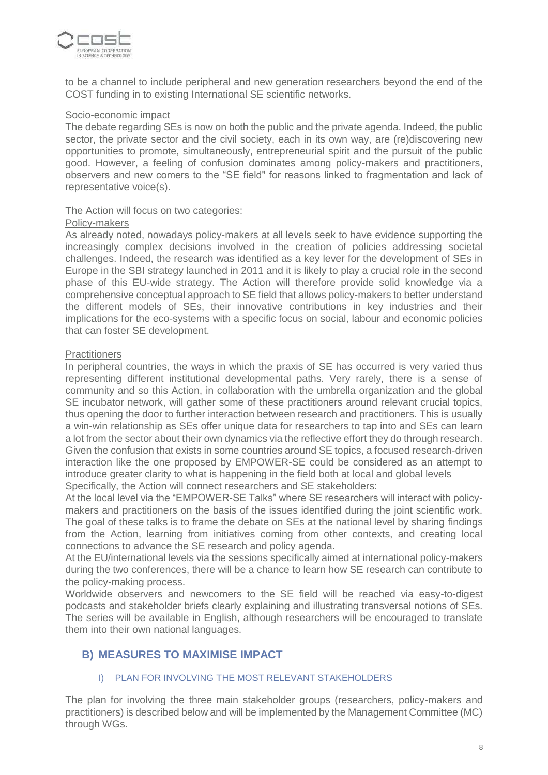

to be a channel to include peripheral and new generation researchers beyond the end of the COST funding in to existing International SE scientific networks.

#### Socio-economic impact

The debate regarding SEs is now on both the public and the private agenda. Indeed, the public sector, the private sector and the civil society, each in its own way, are (re)discovering new opportunities to promote, simultaneously, entrepreneurial spirit and the pursuit of the public good. However, a feeling of confusion dominates among policy-makers and practitioners, observers and new comers to the "SE field" for reasons linked to fragmentation and lack of representative voice(s).

#### The Action will focus on two categories:

#### Policy-makers

As already noted, nowadays policy-makers at all levels seek to have evidence supporting the increasingly complex decisions involved in the creation of policies addressing societal challenges. Indeed, the research was identified as a key lever for the development of SEs in Europe in the SBI strategy launched in 2011 and it is likely to play a crucial role in the second phase of this EU-wide strategy. The Action will therefore provide solid knowledge via a comprehensive conceptual approach to SE field that allows policy-makers to better understand the different models of SEs, their innovative contributions in key industries and their implications for the eco-systems with a specific focus on social, labour and economic policies that can foster SE development.

#### **Practitioners**

In peripheral countries, the ways in which the praxis of SE has occurred is very varied thus representing different institutional developmental paths. Very rarely, there is a sense of community and so this Action, in collaboration with the umbrella organization and the global SE incubator network, will gather some of these practitioners around relevant crucial topics, thus opening the door to further interaction between research and practitioners. This is usually a win-win relationship as SEs offer unique data for researchers to tap into and SEs can learn a lot from the sector about their own dynamics via the reflective effort they do through research. Given the confusion that exists in some countries around SE topics, a focused research-driven interaction like the one proposed by EMPOWER-SE could be considered as an attempt to introduce greater clarity to what is happening in the field both at local and global levels Specifically, the Action will connect researchers and SE stakeholders:

At the local level via the "EMPOWER-SE Talks" where SE researchers will interact with policymakers and practitioners on the basis of the issues identified during the joint scientific work. The goal of these talks is to frame the debate on SEs at the national level by sharing findings from the Action, learning from initiatives coming from other contexts, and creating local connections to advance the SE research and policy agenda.

At the EU/international levels via the sessions specifically aimed at international policy-makers during the two conferences, there will be a chance to learn how SE research can contribute to the policy-making process.

Worldwide observers and newcomers to the SE field will be reached via easy-to-digest podcasts and stakeholder briefs clearly explaining and illustrating transversal notions of SEs. The series will be available in English, although researchers will be encouraged to translate them into their own national languages.

## **B) MEASURES TO MAXIMISE IMPACT**

#### I) PLAN FOR INVOLVING THE MOST RELEVANT STAKEHOLDERS

The plan for involving the three main stakeholder groups (researchers, policy-makers and practitioners) is described below and will be implemented by the Management Committee (MC) through WGs.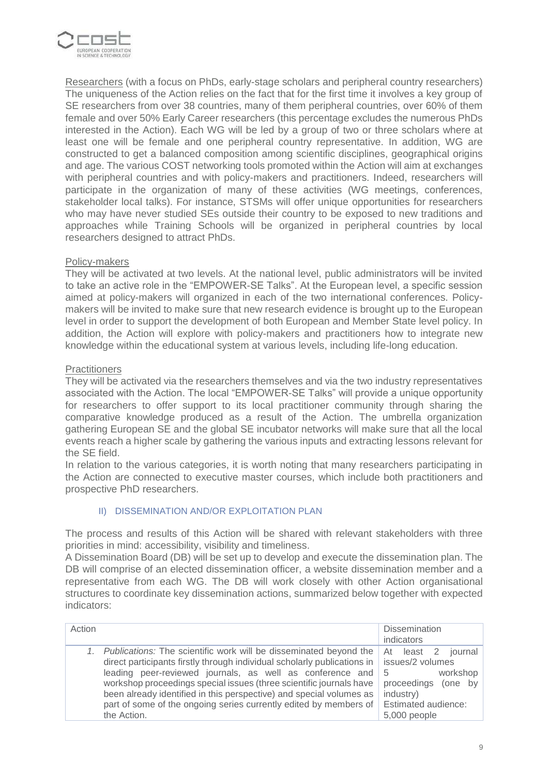

Researchers (with a focus on PhDs, early-stage scholars and peripheral country researchers) The uniqueness of the Action relies on the fact that for the first time it involves a key group of SE researchers from over 38 countries, many of them peripheral countries, over 60% of them female and over 50% Early Career researchers (this percentage excludes the numerous PhDs interested in the Action). Each WG will be led by a group of two or three scholars where at least one will be female and one peripheral country representative. In addition, WG are constructed to get a balanced composition among scientific disciplines, geographical origins and age. The various COST networking tools promoted within the Action will aim at exchanges with peripheral countries and with policy-makers and practitioners. Indeed, researchers will participate in the organization of many of these activities (WG meetings, conferences, stakeholder local talks). For instance, STSMs will offer unique opportunities for researchers who may have never studied SEs outside their country to be exposed to new traditions and approaches while Training Schools will be organized in peripheral countries by local researchers designed to attract PhDs.

#### Policy-makers

They will be activated at two levels. At the national level, public administrators will be invited to take an active role in the "EMPOWER-SE Talks". At the European level, a specific session aimed at policy-makers will organized in each of the two international conferences. Policymakers will be invited to make sure that new research evidence is brought up to the European level in order to support the development of both European and Member State level policy. In addition, the Action will explore with policy-makers and practitioners how to integrate new knowledge within the educational system at various levels, including life-long education.

#### **Practitioners**

They will be activated via the researchers themselves and via the two industry representatives associated with the Action. The local "EMPOWER-SE Talks" will provide a unique opportunity for researchers to offer support to its local practitioner community through sharing the comparative knowledge produced as a result of the Action. The umbrella organization gathering European SE and the global SE incubator networks will make sure that all the local events reach a higher scale by gathering the various inputs and extracting lessons relevant for the SE field.

In relation to the various categories, it is worth noting that many researchers participating in the Action are connected to executive master courses, which include both practitioners and prospective PhD researchers.

#### II) DISSEMINATION AND/OR EXPLOITATION PLAN

The process and results of this Action will be shared with relevant stakeholders with three priorities in mind: accessibility, visibility and timeliness.

A Dissemination Board (DB) will be set up to develop and execute the dissemination plan. The DB will comprise of an elected dissemination officer, a website dissemination member and a representative from each WG. The DB will work closely with other Action organisational structures to coordinate key dissemination actions, summarized below together with expected indicators:

| Action |                                                                                                                                                                                                                                                                                                                                                                                                                                              | <b>Dissemination</b><br>indicators                                                                                                          |
|--------|----------------------------------------------------------------------------------------------------------------------------------------------------------------------------------------------------------------------------------------------------------------------------------------------------------------------------------------------------------------------------------------------------------------------------------------------|---------------------------------------------------------------------------------------------------------------------------------------------|
|        | Publications: The scientific work will be disseminated beyond the<br>direct participants firstly through individual scholarly publications in<br>leading peer-reviewed journals, as well as conference and<br>workshop proceedings special issues (three scientific journals have<br>been already identified in this perspective) and special volumes as<br>part of some of the ongoing series currently edited by members of<br>the Action. | At least 2<br>iournal l<br>issues/2 volumes<br>workshop<br>-5<br>proceedings (one<br>bv<br>industry)<br>Estimated audience:<br>5,000 people |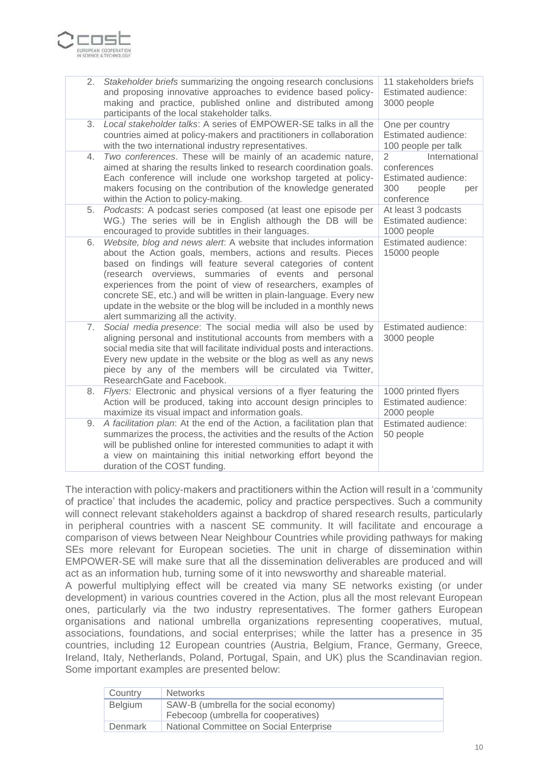

| 2. | Stakeholder briefs summarizing the ongoing research conclusions<br>and proposing innovative approaches to evidence based policy-<br>making and practice, published online and distributed among<br>participants of the local stakeholder talks.                                                                                                                                                                                                                                                                    | 11 stakeholders briefs<br>Estimated audience:<br>3000 people                                                |
|----|--------------------------------------------------------------------------------------------------------------------------------------------------------------------------------------------------------------------------------------------------------------------------------------------------------------------------------------------------------------------------------------------------------------------------------------------------------------------------------------------------------------------|-------------------------------------------------------------------------------------------------------------|
| 3. | Local stakeholder talks: A series of EMPOWER-SE talks in all the<br>countries aimed at policy-makers and practitioners in collaboration<br>with the two international industry representatives.                                                                                                                                                                                                                                                                                                                    | One per country<br>Estimated audience:<br>100 people per talk                                               |
| 4. | Two conferences. These will be mainly of an academic nature,<br>aimed at sharing the results linked to research coordination goals.<br>Each conference will include one workshop targeted at policy-<br>makers focusing on the contribution of the knowledge generated<br>within the Action to policy-making.                                                                                                                                                                                                      | $\overline{2}$<br>International<br>conferences<br>Estimated audience:<br>300<br>people<br>per<br>conference |
| 5. | Podcasts: A podcast series composed (at least one episode per<br>WG.) The series will be in English although the DB will be<br>encouraged to provide subtitles in their languages.                                                                                                                                                                                                                                                                                                                                 | At least 3 podcasts<br>Estimated audience:<br>1000 people                                                   |
| 6. | Website, blog and news alert. A website that includes information<br>about the Action goals, members, actions and results. Pieces<br>based on findings will feature several categories of content<br>(research overviews, summaries of events and personal<br>experiences from the point of view of researchers, examples of<br>concrete SE, etc.) and will be written in plain-language. Every new<br>update in the website or the blog will be included in a monthly news<br>alert summarizing all the activity. | Estimated audience:<br>15000 people                                                                         |
| 7. | Social media presence: The social media will also be used by<br>aligning personal and institutional accounts from members with a<br>social media site that will facilitate individual posts and interactions.<br>Every new update in the website or the blog as well as any news<br>piece by any of the members will be circulated via Twitter,<br>ResearchGate and Facebook.                                                                                                                                      | Estimated audience:<br>3000 people                                                                          |
| 8. | Flyers: Electronic and physical versions of a flyer featuring the<br>Action will be produced, taking into account design principles to<br>maximize its visual impact and information goals.                                                                                                                                                                                                                                                                                                                        | 1000 printed flyers<br>Estimated audience:<br>2000 people                                                   |
| 9. | A facilitation plan: At the end of the Action, a facilitation plan that<br>summarizes the process, the activities and the results of the Action<br>will be published online for interested communities to adapt it with<br>a view on maintaining this initial networking effort beyond the<br>duration of the COST funding.                                                                                                                                                                                        | Estimated audience:<br>50 people                                                                            |

The interaction with policy-makers and practitioners within the Action will result in a 'community of practice' that includes the academic, policy and practice perspectives. Such a community will connect relevant stakeholders against a backdrop of shared research results, particularly in peripheral countries with a nascent SE community. It will facilitate and encourage a comparison of views between Near Neighbour Countries while providing pathways for making SEs more relevant for European societies. The unit in charge of dissemination within EMPOWER-SE will make sure that all the dissemination deliverables are produced and will act as an information hub, turning some of it into newsworthy and shareable material.

A powerful multiplying effect will be created via many SE networks existing (or under development) in various countries covered in the Action, plus all the most relevant European ones, particularly via the two industry representatives. The former gathers European organisations and national umbrella organizations representing cooperatives, mutual, associations, foundations, and social enterprises; while the latter has a presence in 35 countries, including 12 European countries (Austria, Belgium, France, Germany, Greece, Ireland, Italy, Netherlands, Poland, Portugal, Spain, and UK) plus the Scandinavian region. Some important examples are presented below:

| Country        | <b>Networks</b>                                                                 |
|----------------|---------------------------------------------------------------------------------|
| <b>Belgium</b> | SAW-B (umbrella for the social economy)<br>Febecoop (umbrella for cooperatives) |
| Denmark        | National Committee on Social Enterprise                                         |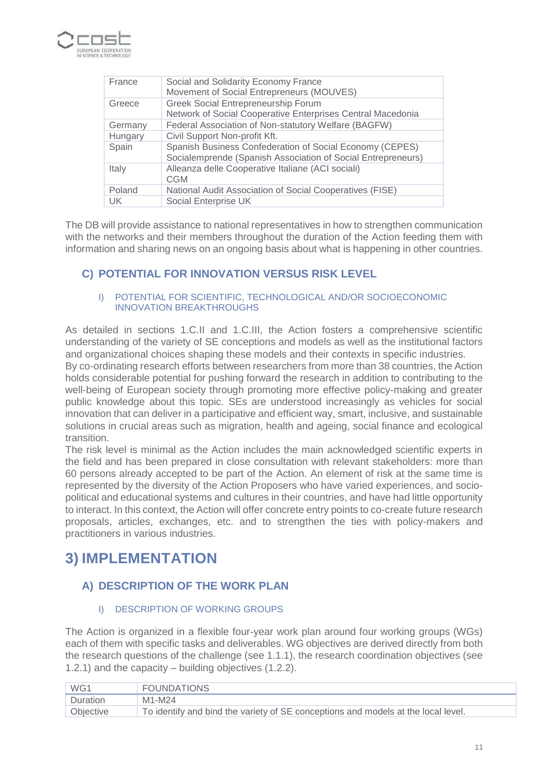

| France    | Social and Solidarity Economy France<br>Movement of Social Entrepreneurs (MOUVES)                                        |
|-----------|--------------------------------------------------------------------------------------------------------------------------|
| Greece    | <b>Greek Social Entrepreneurship Forum</b><br>Network of Social Cooperative Enterprises Central Macedonia                |
| Germany   | Federal Association of Non-statutory Welfare (BAGFW)                                                                     |
| Hungary   | Civil Support Non-profit Kft.                                                                                            |
| Spain     | Spanish Business Confederation of Social Economy (CEPES)<br>Socialemprende (Spanish Association of Social Entrepreneurs) |
| Italy     | Alleanza delle Cooperative Italiane (ACI sociali)<br><b>CGM</b>                                                          |
| Poland    | National Audit Association of Social Cooperatives (FISE)                                                                 |
| <b>UK</b> | Social Enterprise UK                                                                                                     |

The DB will provide assistance to national representatives in how to strengthen communication with the networks and their members throughout the duration of the Action feeding them with information and sharing news on an ongoing basis about what is happening in other countries.

## **C) POTENTIAL FOR INNOVATION VERSUS RISK LEVEL**

#### I) POTENTIAL FOR SCIENTIFIC, TECHNOLOGICAL AND/OR SOCIOECONOMIC INNOVATION BREAKTHROUGHS

As detailed in sections 1.C.II and 1.C.III, the Action fosters a comprehensive scientific understanding of the variety of SE conceptions and models as well as the institutional factors and organizational choices shaping these models and their contexts in specific industries. By co-ordinating research efforts between researchers from more than 38 countries, the Action holds considerable potential for pushing forward the research in addition to contributing to the well-being of European society through promoting more effective policy-making and greater public knowledge about this topic. SEs are understood increasingly as vehicles for social

innovation that can deliver in a participative and efficient way, smart, inclusive, and sustainable solutions in crucial areas such as migration, health and ageing, social finance and ecological transition.

The risk level is minimal as the Action includes the main acknowledged scientific experts in the field and has been prepared in close consultation with relevant stakeholders: more than 60 persons already accepted to be part of the Action. An element of risk at the same time is represented by the diversity of the Action Proposers who have varied experiences, and sociopolitical and educational systems and cultures in their countries, and have had little opportunity to interact. In this context, the Action will offer concrete entry points to co-create future research proposals, articles, exchanges, etc. and to strengthen the ties with policy-makers and practitioners in various industries.

# **3) IMPLEMENTATION**

# **A) DESCRIPTION OF THE WORK PLAN**

## I) DESCRIPTION OF WORKING GROUPS

The Action is organized in a flexible four-year work plan around four working groups (WGs) each of them with specific tasks and deliverables. WG objectives are derived directly from both the research questions of the challenge (see 1.1.1), the research coordination objectives (see 1.2.1) and the capacity – building objectives (1.2.2).

| WG1       | <b>FOUNDATIONS</b>                                                                |
|-----------|-----------------------------------------------------------------------------------|
| Duration  | M1-M24                                                                            |
| Objective | To identify and bind the variety of SE conceptions and models at the local level. |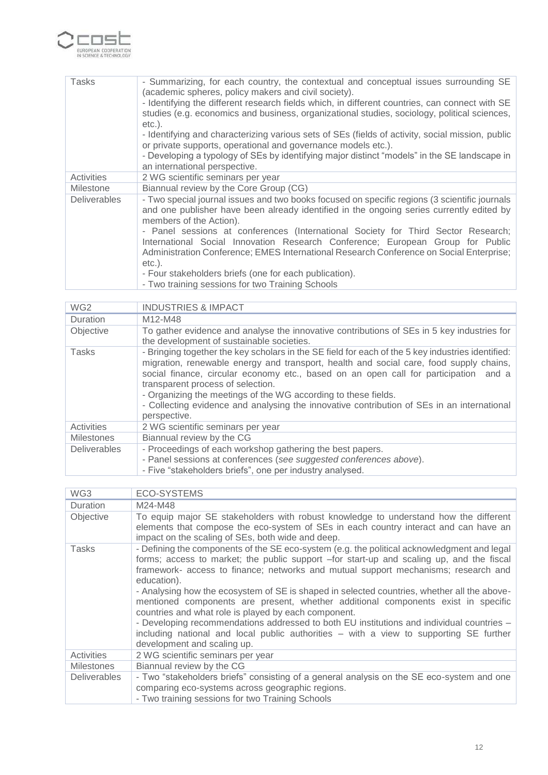

| Tasks               | - Summarizing, for each country, the contextual and conceptual issues surrounding SE<br>(academic spheres, policy makers and civil society).<br>- Identifying the different research fields which, in different countries, can connect with SE<br>studies (e.g. economics and business, organizational studies, sociology, political sciences,<br>$etc.$ ). |
|---------------------|-------------------------------------------------------------------------------------------------------------------------------------------------------------------------------------------------------------------------------------------------------------------------------------------------------------------------------------------------------------|
|                     | - Identifying and characterizing various sets of SEs (fields of activity, social mission, public<br>or private supports, operational and governance models etc.).                                                                                                                                                                                           |
|                     | - Developing a typology of SEs by identifying major distinct "models" in the SE landscape in<br>an international perspective.                                                                                                                                                                                                                               |
| Activities          | 2 WG scientific seminars per year                                                                                                                                                                                                                                                                                                                           |
| <b>Milestone</b>    | Biannual review by the Core Group (CG)                                                                                                                                                                                                                                                                                                                      |
| <b>Deliverables</b> | - Two special journal issues and two books focused on specific regions (3 scientific journals<br>and one publisher have been already identified in the ongoing series currently edited by<br>members of the Action).                                                                                                                                        |
|                     | - Panel sessions at conferences (International Society for Third Sector Research;<br>International Social Innovation Research Conference; European Group for Public<br>Administration Conference; EMES International Research Conference on Social Enterprise;                                                                                              |
|                     | $etc.$ ).<br>- Four stakeholders briefs (one for each publication).<br>- Two training sessions for two Training Schools                                                                                                                                                                                                                                     |

| WG <sub>2</sub>     | <b>INDUSTRIES &amp; IMPACT</b>                                                                                                                                                                                                                                                                                                                                                                                                                                                                           |  |  |  |  |  |
|---------------------|----------------------------------------------------------------------------------------------------------------------------------------------------------------------------------------------------------------------------------------------------------------------------------------------------------------------------------------------------------------------------------------------------------------------------------------------------------------------------------------------------------|--|--|--|--|--|
| Duration            | M12-M48                                                                                                                                                                                                                                                                                                                                                                                                                                                                                                  |  |  |  |  |  |
| Objective           | To gather evidence and analyse the innovative contributions of SEs in 5 key industries for<br>the development of sustainable societies.                                                                                                                                                                                                                                                                                                                                                                  |  |  |  |  |  |
| <b>Tasks</b>        | - Bringing together the key scholars in the SE field for each of the 5 key industries identified:<br>migration, renewable energy and transport, health and social care, food supply chains,<br>social finance, circular economy etc., based on an open call for participation and a<br>transparent process of selection.<br>- Organizing the meetings of the WG according to these fields.<br>- Collecting evidence and analysing the innovative contribution of SEs in an international<br>perspective. |  |  |  |  |  |
| Activities          | 2 WG scientific seminars per year                                                                                                                                                                                                                                                                                                                                                                                                                                                                        |  |  |  |  |  |
| <b>Milestones</b>   | Biannual review by the CG                                                                                                                                                                                                                                                                                                                                                                                                                                                                                |  |  |  |  |  |
| <b>Deliverables</b> | - Proceedings of each workshop gathering the best papers.<br>- Panel sessions at conferences (see suggested conferences above).<br>- Five "stakeholders briefs", one per industry analysed.                                                                                                                                                                                                                                                                                                              |  |  |  |  |  |

| WG3                 | <b>ECO-SYSTEMS</b>                                                                                                                                                                                                                                                                                                                                                                                                                                                                                                                                                                                                                                                                                                                                             |  |  |  |
|---------------------|----------------------------------------------------------------------------------------------------------------------------------------------------------------------------------------------------------------------------------------------------------------------------------------------------------------------------------------------------------------------------------------------------------------------------------------------------------------------------------------------------------------------------------------------------------------------------------------------------------------------------------------------------------------------------------------------------------------------------------------------------------------|--|--|--|
| <b>Duration</b>     | M24-M48                                                                                                                                                                                                                                                                                                                                                                                                                                                                                                                                                                                                                                                                                                                                                        |  |  |  |
| Objective           | To equip major SE stakeholders with robust knowledge to understand how the different<br>elements that compose the eco-system of SEs in each country interact and can have an<br>impact on the scaling of SEs, both wide and deep.                                                                                                                                                                                                                                                                                                                                                                                                                                                                                                                              |  |  |  |
| Tasks               | - Defining the components of the SE eco-system (e.g. the political acknowledgment and legal<br>forms; access to market; the public support -for start-up and scaling up, and the fiscal<br>framework- access to finance; networks and mutual support mechanisms; research and<br>education).<br>- Analysing how the ecosystem of SE is shaped in selected countries, whether all the above-<br>mentioned components are present, whether additional components exist in specific<br>countries and what role is played by each component.<br>- Developing recommendations addressed to both EU institutions and individual countries -<br>including national and local public authorities - with a view to supporting SE further<br>development and scaling up. |  |  |  |
| Activities          | 2 WG scientific seminars per year                                                                                                                                                                                                                                                                                                                                                                                                                                                                                                                                                                                                                                                                                                                              |  |  |  |
| <b>Milestones</b>   | Biannual review by the CG                                                                                                                                                                                                                                                                                                                                                                                                                                                                                                                                                                                                                                                                                                                                      |  |  |  |
| <b>Deliverables</b> | - Two "stakeholders briefs" consisting of a general analysis on the SE eco-system and one<br>comparing eco-systems across geographic regions.<br>- Two training sessions for two Training Schools                                                                                                                                                                                                                                                                                                                                                                                                                                                                                                                                                              |  |  |  |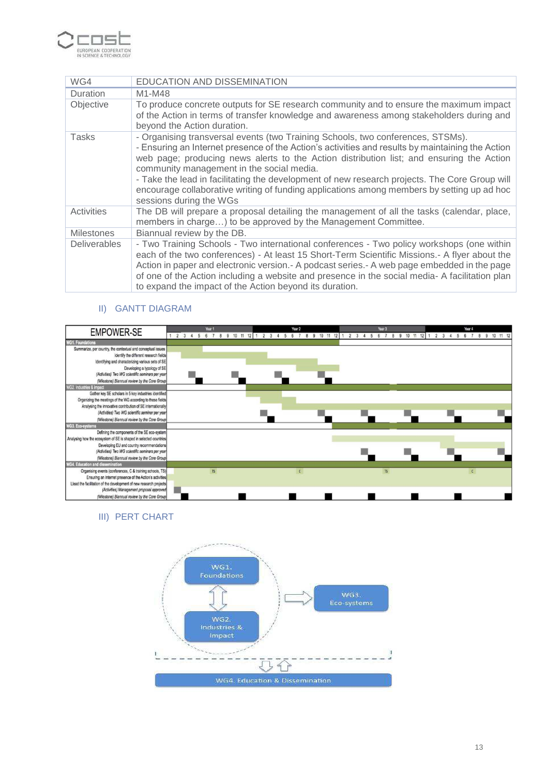

| WG4                 | EDUCATION AND DISSEMINATION                                                                                                                                                                                                                                                                                                                                                                                                                                                                                                                            |  |  |  |
|---------------------|--------------------------------------------------------------------------------------------------------------------------------------------------------------------------------------------------------------------------------------------------------------------------------------------------------------------------------------------------------------------------------------------------------------------------------------------------------------------------------------------------------------------------------------------------------|--|--|--|
| <b>Duration</b>     | M1-M48                                                                                                                                                                                                                                                                                                                                                                                                                                                                                                                                                 |  |  |  |
| Objective           | To produce concrete outputs for SE research community and to ensure the maximum impact<br>of the Action in terms of transfer knowledge and awareness among stakeholders during and<br>beyond the Action duration.                                                                                                                                                                                                                                                                                                                                      |  |  |  |
| Tasks               | - Organising transversal events (two Training Schools, two conferences, STSMs).<br>- Ensuring an Internet presence of the Action's activities and results by maintaining the Action<br>web page; producing news alerts to the Action distribution list; and ensuring the Action<br>community management in the social media.<br>- Take the lead in facilitating the development of new research projects. The Core Group will<br>encourage collaborative writing of funding applications among members by setting up ad hoc<br>sessions during the WGs |  |  |  |
| Activities          | The DB will prepare a proposal detailing the management of all the tasks (calendar, place,<br>members in charge) to be approved by the Management Committee.                                                                                                                                                                                                                                                                                                                                                                                           |  |  |  |
| <b>Milestones</b>   | Biannual review by the DB.                                                                                                                                                                                                                                                                                                                                                                                                                                                                                                                             |  |  |  |
| <b>Deliverables</b> | - Two Training Schools - Two international conferences - Two policy workshops (one within<br>each of the two conferences) - At least 15 Short-Term Scientific Missions.- A flyer about the<br>Action in paper and electronic version. - A podcast series. - A web page embedded in the page<br>of one of the Action including a website and presence in the social media- A facilitation plan<br>to expand the impact of the Action beyond its duration.                                                                                               |  |  |  |

## II) GANTT DIAGRAM

| <b>EMPOWER-SE</b>                                                  |             | Year 1 |                    | Year 2       |                            |             |   | Year 3 |                | Year 4 |       |
|--------------------------------------------------------------------|-------------|--------|--------------------|--------------|----------------------------|-------------|---|--------|----------------|--------|-------|
|                                                                    | 1 2 3 4 5 6 | 8      | 9 10 11 12 1 2 3 4 |              | 10 11 12<br>$\overline{9}$ | $2 \quad 3$ | 5 |        | 10<br>11<br>12 |        | 11 12 |
| <b>WG1. Foundations</b>                                            |             |        |                    |              |                            |             |   |        |                |        |       |
| Summarize, per country, the contextual and conceptual issues       |             |        |                    |              |                            |             |   |        |                |        |       |
| Identify the different research fields                             |             |        |                    |              |                            |             |   |        |                |        |       |
| Identifying and characterizing various sets of SE                  |             |        |                    |              |                            |             |   |        |                |        |       |
| Developing a typology of SE                                        |             |        |                    |              |                            |             |   |        |                |        |       |
| (Activities) Two WG scientific seminars per year                   |             |        |                    |              |                            |             |   |        |                |        |       |
| (Milestone) Biannual review by the Core Group                      |             |        |                    |              |                            |             |   |        |                |        |       |
| WG2, Industries & impact                                           |             |        |                    |              |                            |             |   |        |                |        |       |
| Gather key SE scholars in 5 key industries identified              |             |        |                    |              |                            |             |   |        |                |        |       |
| Organizing the meetings of the WG according to these fields        |             |        |                    |              |                            |             |   |        |                |        |       |
| Analysing the innovative contribution of SE internationally        |             |        |                    |              |                            |             |   |        |                |        |       |
| (Activities) Two WG scientific seminar per year                    |             |        |                    |              |                            |             |   |        |                |        |       |
| (Milestone) Biannual review by the Core Group                      |             |        |                    |              |                            |             |   |        |                |        |       |
| <b>WG3. Eco-systems</b>                                            |             |        |                    |              |                            |             |   |        |                |        |       |
| Defining the components of the SE eco-system                       |             |        |                    |              |                            |             |   |        |                |        |       |
| Analysing how the ecosystem of SE is shaped in selected countries  |             |        |                    |              |                            |             |   |        |                |        |       |
| Developing EU and country recommendations                          |             |        |                    |              |                            |             |   |        |                |        |       |
| (Activities) Two WG scientific seminars per year                   |             |        |                    |              |                            |             |   |        |                |        |       |
| (Milestone) Biannual review by the Core Group                      |             |        |                    |              |                            |             |   |        |                |        |       |
| <b>WG4. Education and dissemination</b>                            |             |        |                    |              |                            |             |   |        |                |        |       |
| Organising events (conferences, C & training schools, TS)          |             | TS     |                    | $\mathbf{c}$ |                            |             |   | TS     |                |        |       |
| Ensuring an Internet presence of the Action's activities           |             |        |                    |              |                            |             |   |        |                |        |       |
| Llead the facilitation of the development of new research projects |             |        |                    |              |                            |             |   |        |                |        |       |
| (Activities) Management proposal approved                          |             |        |                    |              |                            |             |   |        |                |        |       |
| (Milestone) Biannual review by the Core Group                      |             |        |                    |              |                            |             |   |        |                |        |       |

III) PERT CHART

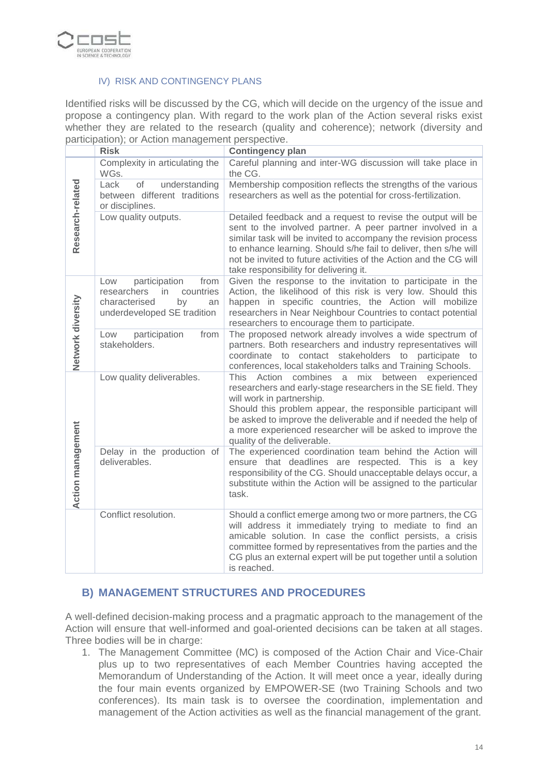

#### IV) RISK AND CONTINGENCY PLANS

Identified risks will be discussed by the CG, which will decide on the urgency of the issue and propose a contingency plan. With regard to the work plan of the Action several risks exist whether they are related to the research (quality and coherence); network (diversity and participation); or Action management perspective.

|                          | <b>Risk</b>                                                                                                                | <b>Contingency plan</b>                                                                                                                                                                                                                                                                                                                                                                      |
|--------------------------|----------------------------------------------------------------------------------------------------------------------------|----------------------------------------------------------------------------------------------------------------------------------------------------------------------------------------------------------------------------------------------------------------------------------------------------------------------------------------------------------------------------------------------|
|                          | Complexity in articulating the<br>WGs.                                                                                     | Careful planning and inter-WG discussion will take place in<br>the CG.                                                                                                                                                                                                                                                                                                                       |
| Research-related         | Lack<br>of<br>understanding<br>between different traditions<br>or disciplines.                                             | Membership composition reflects the strengths of the various<br>researchers as well as the potential for cross-fertilization.                                                                                                                                                                                                                                                                |
|                          | Low quality outputs.                                                                                                       | Detailed feedback and a request to revise the output will be<br>sent to the involved partner. A peer partner involved in a<br>similar task will be invited to accompany the revision process<br>to enhance learning. Should s/he fail to deliver, then s/he will<br>not be invited to future activities of the Action and the CG will<br>take responsibility for delivering it.              |
| Network diversity        | participation<br>from<br>Low<br>researchers<br>in<br>countries<br>characterised<br>by<br>an<br>underdeveloped SE tradition | Given the response to the invitation to participate in the<br>Action, the likelihood of this risk is very low. Should this<br>happen in specific countries, the Action will mobilize<br>researchers in Near Neighbour Countries to contact potential<br>researchers to encourage them to participate.                                                                                        |
|                          | participation<br>from<br>Low<br>stakeholders.                                                                              | The proposed network already involves a wide spectrum of<br>partners. Both researchers and industry representatives will<br>coordinate to contact stakeholders to participate to<br>conferences, local stakeholders talks and Training Schools.                                                                                                                                              |
|                          | Low quality deliverables.                                                                                                  | combines<br>mix<br>between<br>This<br>Action<br>a<br>experienced<br>researchers and early-stage researchers in the SE field. They<br>will work in partnership.<br>Should this problem appear, the responsible participant will<br>be asked to improve the deliverable and if needed the help of<br>a more experienced researcher will be asked to improve the<br>quality of the deliverable. |
| <b>Action management</b> | Delay in the production of<br>deliverables.                                                                                | The experienced coordination team behind the Action will<br>ensure that deadlines are respected. This is a key<br>responsibility of the CG. Should unacceptable delays occur, a<br>substitute within the Action will be assigned to the particular<br>task.                                                                                                                                  |
|                          | Conflict resolution.                                                                                                       | Should a conflict emerge among two or more partners, the CG<br>will address it immediately trying to mediate to find an<br>amicable solution. In case the conflict persists, a crisis<br>committee formed by representatives from the parties and the<br>CG plus an external expert will be put together until a solution<br>is reached.                                                     |

## **B) MANAGEMENT STRUCTURES AND PROCEDURES**

A well-defined decision-making process and a pragmatic approach to the management of the Action will ensure that well-informed and goal-oriented decisions can be taken at all stages. Three bodies will be in charge:

1. The Management Committee (MC) is composed of the Action Chair and Vice-Chair plus up to two representatives of each Member Countries having accepted the Memorandum of Understanding of the Action. It will meet once a year, ideally during the four main events organized by EMPOWER-SE (two Training Schools and two conferences). Its main task is to oversee the coordination, implementation and management of the Action activities as well as the financial management of the grant.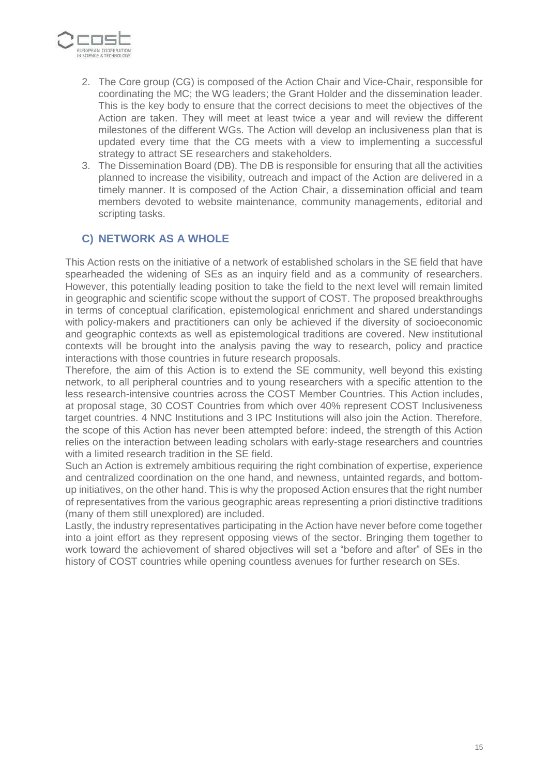

- 2. The Core group (CG) is composed of the Action Chair and Vice-Chair, responsible for coordinating the MC; the WG leaders; the Grant Holder and the dissemination leader. This is the key body to ensure that the correct decisions to meet the objectives of the Action are taken. They will meet at least twice a year and will review the different milestones of the different WGs. The Action will develop an inclusiveness plan that is updated every time that the CG meets with a view to implementing a successful strategy to attract SE researchers and stakeholders.
- 3. The Dissemination Board (DB). The DB is responsible for ensuring that all the activities planned to increase the visibility, outreach and impact of the Action are delivered in a timely manner. It is composed of the Action Chair, a dissemination official and team members devoted to website maintenance, community managements, editorial and scripting tasks.

## **C) NETWORK AS A WHOLE**

This Action rests on the initiative of a network of established scholars in the SE field that have spearheaded the widening of SEs as an inquiry field and as a community of researchers. However, this potentially leading position to take the field to the next level will remain limited in geographic and scientific scope without the support of COST. The proposed breakthroughs in terms of conceptual clarification, epistemological enrichment and shared understandings with policy-makers and practitioners can only be achieved if the diversity of socioeconomic and geographic contexts as well as epistemological traditions are covered. New institutional contexts will be brought into the analysis paving the way to research, policy and practice interactions with those countries in future research proposals.

Therefore, the aim of this Action is to extend the SE community, well beyond this existing network, to all peripheral countries and to young researchers with a specific attention to the less research-intensive countries across the COST Member Countries. This Action includes, at proposal stage, 30 COST Countries from which over 40% represent COST Inclusiveness target countries. 4 NNC Institutions and 3 IPC Institutions will also join the Action. Therefore, the scope of this Action has never been attempted before: indeed, the strength of this Action relies on the interaction between leading scholars with early-stage researchers and countries with a limited research tradition in the SE field.

Such an Action is extremely ambitious requiring the right combination of expertise, experience and centralized coordination on the one hand, and newness, untainted regards, and bottomup initiatives, on the other hand. This is why the proposed Action ensures that the right number of representatives from the various geographic areas representing a priori distinctive traditions (many of them still unexplored) are included.

Lastly, the industry representatives participating in the Action have never before come together into a joint effort as they represent opposing views of the sector. Bringing them together to work toward the achievement of shared objectives will set a "before and after" of SEs in the history of COST countries while opening countless avenues for further research on SEs.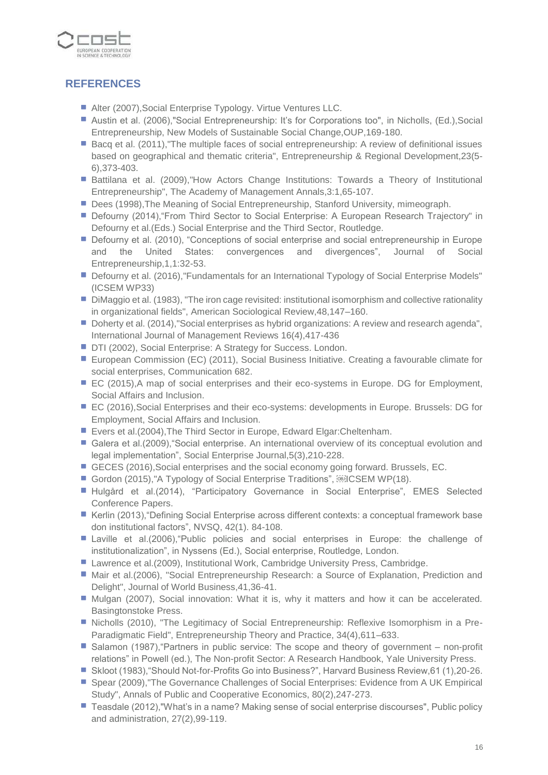

# **REFERENCES**

- Alter (2007), Social Enterprise Typology. Virtue Ventures LLC.
- Austin et al. (2006),"Social Entrepreneurship: It's for Corporations too", in Nicholls, (Ed.),Social Entrepreneurship, New Models of Sustainable Social Change,OUP,169-180.
- Bacq et al. (2011),"The multiple faces of social entrepreneurship: A review of definitional issues based on geographical and thematic criteria", Entrepreneurship & Regional Development,23(5- 6),373-403.
- **Battilana et al. (2009), How Actors Change Institutions: Towards a Theory of Institutional** Entrepreneurship", The Academy of Management Annals,3:1,65-107.
- Dees (1998), The Meaning of Social Entrepreneurship, Stanford University, mimeograph.
- Defourny (2014), "From Third Sector to Social Enterprise: A European Research Trajectory" in Defourny et al.(Eds.) Social Enterprise and the Third Sector, Routledge.
- **Defourny et al. (2010), "Conceptions of social enterprise and social entrepreneurship in Europe** and the United States: convergences and divergences", Journal of Social Entrepreneurship,1,1:32-53.
- Defourny et al. (2016), "Fundamentals for an International Typology of Social Enterprise Models" (ICSEM WP33)
- **Dimaggio et al. (1983), "The iron cage revisited: institutional isomorphism and collective rationality** in organizational fields", American Sociological Review,48,147–160.
- Doherty et al. (2014),"Social enterprises as hybrid organizations: A review and research agenda", International Journal of Management Reviews 16(4),417-436
- DTI (2002), Social Enterprise: A Strategy for Success. London.
- **European Commission (EC) (2011), Social Business Initiative. Creating a favourable climate for** social enterprises, Communication 682.
- EC (2015),A map of social enterprises and their eco-systems in Europe. DG for Employment, Social Affairs and Inclusion.
- EC (2016), Social Enterprises and their eco-systems: developments in Europe. Brussels: DG for Employment, Social Affairs and Inclusion.
- Evers et al.(2004), The Third Sector in Europe, Edward Elgar: Cheltenham.
- Galera et al.(2009), "Social enterprise. An international overview of its conceptual evolution and legal implementation", Social Enterprise Journal,5(3),210-228.
- GECES (2016), Social enterprises and the social economy going forward. Brussels, EC.
- Gordon (2015), "A Typology of Social Enterprise Traditions", **ENRICSEM WP(18)**.
- Hulgård et al.(2014), "Participatory Governance in Social Enterprise", EMES Selected Conference Papers.
- Kerlin (2013), "Defining Social Enterprise across different contexts: a conceptual framework base don institutional factors", NVSQ, 42(1). 84-108.
- Laville et al.(2006),"Public policies and social enterprises in Europe: the challenge of institutionalization", in Nyssens (Ed.), Social enterprise, Routledge, London.
- Lawrence et al.(2009), Institutional Work, Cambridge University Press, Cambridge.
- **Mair et al.(2006), "Social Entrepreneurship Research: a Source of Explanation, Prediction and** Delight", Journal of World Business,41,36-41.
- Mulgan (2007), Social innovation: What it is, why it matters and how it can be accelerated. Basingtonstoke Press.
- **Nicholls (2010), "The Legitimacy of Social Entrepreneurship: Reflexive Isomorphism in a Pre-**Paradigmatic Field", Entrepreneurship Theory and Practice, 34(4),611–633.
- Salamon (1987), "Partners in public service: The scope and theory of government non-profit relations" in Powell (ed.), The Non-profit Sector: A Research Handbook, Yale University Press.
- Skloot (1983), "Should Not-for-Profits Go into Business?", Harvard Business Review, 61 (1), 20-26.
- Spear (2009),"The Governance Challenges of Social Enterprises: Evidence from A UK Empirical Study", Annals of Public and Cooperative Economics, 80(2),247-273.
- Teasdale (2012), "What's in a name? Making sense of social enterprise discourses", Public policy and administration, 27(2),99-119.